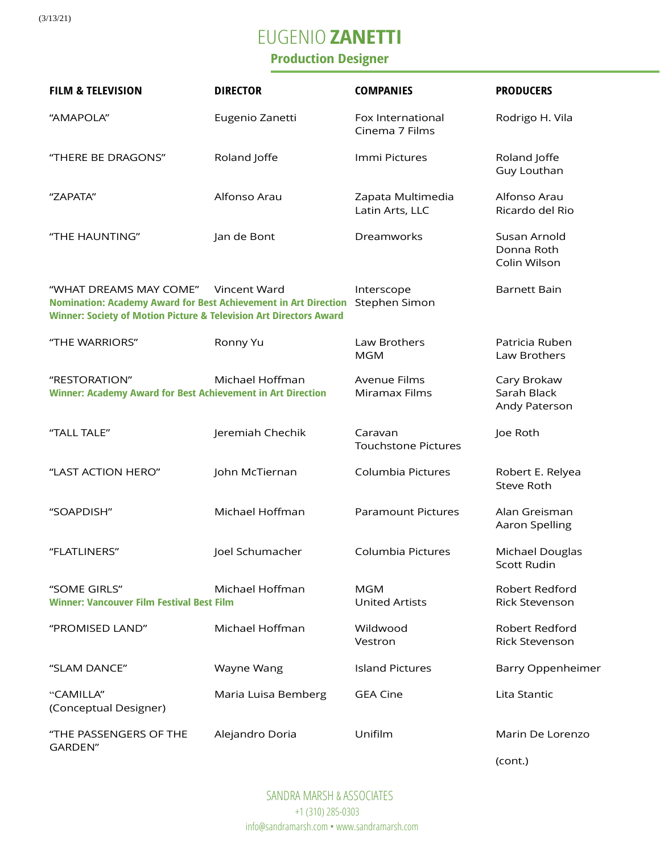# EUGENIO **ZANETTI**

### **Production Designer**

| <b>FILM &amp; TELEVISION</b>                                                                                                                                               | <b>DIRECTOR</b>     | <b>COMPANIES</b>                      | <b>PRODUCERS</b>                            |
|----------------------------------------------------------------------------------------------------------------------------------------------------------------------------|---------------------|---------------------------------------|---------------------------------------------|
| "AMAPOLA"                                                                                                                                                                  | Eugenio Zanetti     | Fox International<br>Cinema 7 Films   | Rodrigo H. Vila                             |
| "THERE BE DRAGONS"                                                                                                                                                         | Roland Joffe        | Immi Pictures                         | Roland Joffe<br>Guy Louthan                 |
| "ZAPATA"                                                                                                                                                                   | Alfonso Arau        | Zapata Multimedia<br>Latin Arts, LLC  | Alfonso Arau<br>Ricardo del Rio             |
| "THE HAUNTING"                                                                                                                                                             | Jan de Bont         | Dreamworks                            | Susan Arnold<br>Donna Roth<br>Colin Wilson  |
| "WHAT DREAMS MAY COME"<br>Nomination: Academy Award for Best Achievement in Art Direction<br><b>Winner: Society of Motion Picture &amp; Television Art Directors Award</b> | Vincent Ward        | Interscope<br>Stephen Simon           | <b>Barnett Bain</b>                         |
| "THE WARRIORS"                                                                                                                                                             | Ronny Yu            | Law Brothers<br><b>MGM</b>            | Patricia Ruben<br>Law Brothers              |
| "RESTORATION"<br><b>Winner: Academy Award for Best Achievement in Art Direction</b>                                                                                        | Michael Hoffman     | <b>Avenue Films</b><br>Miramax Films  | Cary Brokaw<br>Sarah Black<br>Andy Paterson |
| "TALL TALE"                                                                                                                                                                | Jeremiah Chechik    | Caravan<br><b>Touchstone Pictures</b> | Joe Roth                                    |
| "LAST ACTION HERO"                                                                                                                                                         | John McTiernan      | Columbia Pictures                     | Robert E. Relyea<br><b>Steve Roth</b>       |
| "SOAPDISH"                                                                                                                                                                 | Michael Hoffman     | <b>Paramount Pictures</b>             | Alan Greisman<br>Aaron Spelling             |
| "FLATLINERS"                                                                                                                                                               | Joel Schumacher     | Columbia Pictures                     | Michael Douglas<br>Scott Rudin              |
| "SOME GIRLS"<br><b>Winner: Vancouver Film Festival Best Film</b>                                                                                                           | Michael Hoffman     | <b>MGM</b><br><b>United Artists</b>   | Robert Redford<br><b>Rick Stevenson</b>     |
| "PROMISED LAND"                                                                                                                                                            | Michael Hoffman     | Wildwood<br>Vestron                   | Robert Redford<br>Rick Stevenson            |
| "SLAM DANCE"                                                                                                                                                               | Wayne Wang          | <b>Island Pictures</b>                | <b>Barry Oppenheimer</b>                    |
| "CAMILLA"<br>(Conceptual Designer)                                                                                                                                         | Maria Luisa Bemberg | <b>GEA Cine</b>                       | Lita Stantic                                |
| "THE PASSENGERS OF THE<br>GARDEN"                                                                                                                                          | Alejandro Doria     | Unifilm                               | Marin De Lorenzo                            |

(cont.)